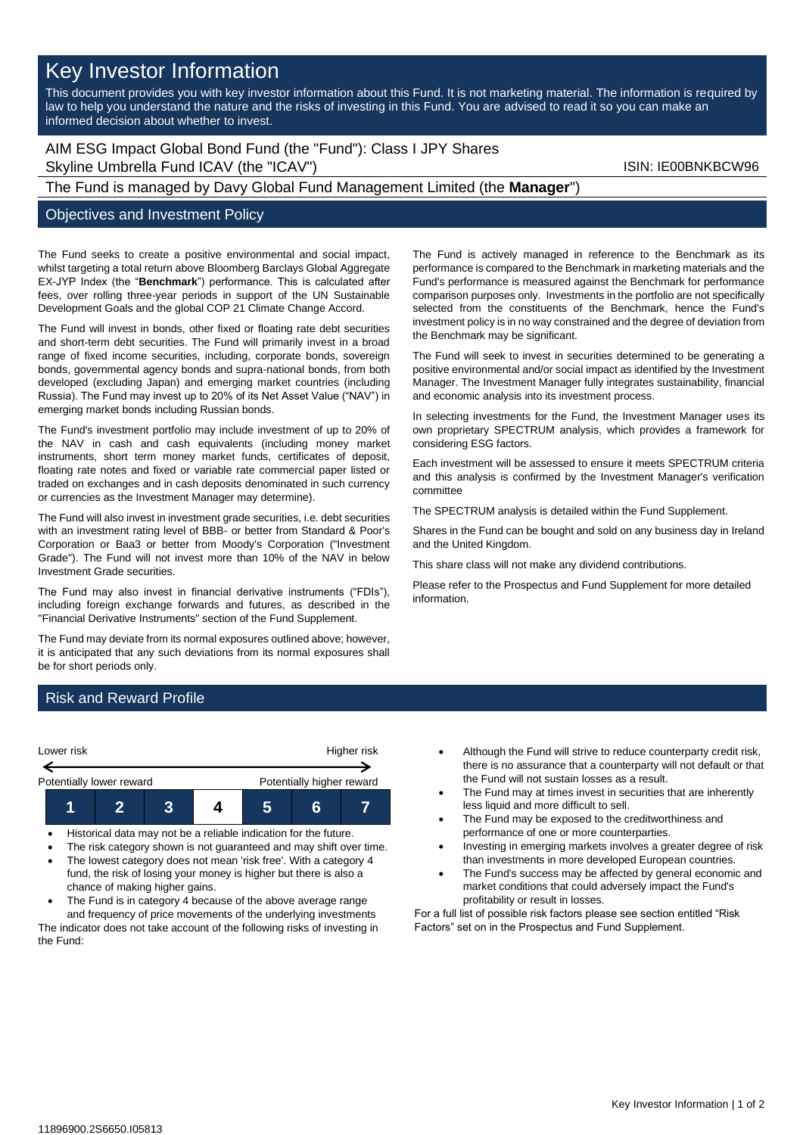# Key Investor Information

This document provides you with key investor information about this Fund. It is not marketing material. The information is required by law to help you understand the nature and the risks of investing in this Fund. You are advised to read it so you can make an informed decision about whether to invest.

AIM ESG Impact Global Bond Fund (the "Fund"): Class I JPY Shares Skyline Umbrella Fund ICAV (the "ICAV") Skyline Umbrella Fund ICAV (the "ICAV")

### The Fund is managed by Davy Global Fund Management Limited (the **Manager**")

#### Objectives and Investment Policy

The Fund seeks to create a positive environmental and social impact, whilst targeting a total return above Bloomberg Barclays Global Aggregate EX-JYP Index (the "**Benchmark**") performance. This is calculated after fees, over rolling three-year periods in support of the UN Sustainable Development Goals and the global COP 21 Climate Change Accord.

The Fund will invest in bonds, other fixed or floating rate debt securities and short-term debt securities. The Fund will primarily invest in a broad range of fixed income securities, including, corporate bonds, sovereign bonds, governmental agency bonds and supra-national bonds, from both developed (excluding Japan) and emerging market countries (including Russia). The Fund may invest up to 20% of its Net Asset Value ("NAV") in emerging market bonds including Russian bonds.

The Fund's investment portfolio may include investment of up to 20% of the NAV in cash and cash equivalents (including money market instruments, short term money market funds, certificates of deposit, floating rate notes and fixed or variable rate commercial paper listed or traded on exchanges and in cash deposits denominated in such currency or currencies as the Investment Manager may determine).

The Fund will also invest in investment grade securities, i.e. debt securities with an investment rating level of BBB- or better from Standard & Poor's Corporation or Baa3 or better from Moody's Corporation ("Investment Grade"). The Fund will not invest more than 10% of the NAV in below Investment Grade securities.

The Fund may also invest in financial derivative instruments ("FDIs"), including foreign exchange forwards and futures, as described in the "Financial Derivative Instruments" section of the Fund Supplement.

The Fund may deviate from its normal exposures outlined above; however, it is anticipated that any such deviations from its normal exposures shall be for short periods only.

The Fund is actively managed in reference to the Benchmark as its performance is compared to the Benchmark in marketing materials and the Fund's performance is measured against the Benchmark for performance comparison purposes only. Investments in the portfolio are not specifically selected from the constituents of the Benchmark, hence the Fund's investment policy is in no way constrained and the degree of deviation from the Benchmark may be significant.

The Fund will seek to invest in securities determined to be generating a positive environmental and/or social impact as identified by the Investment Manager. The Investment Manager fully integrates sustainability, financial and economic analysis into its investment process.

In selecting investments for the Fund, the Investment Manager uses its own proprietary SPECTRUM analysis, which provides a framework for considering ESG factors.

Each investment will be assessed to ensure it meets SPECTRUM criteria and this analysis is confirmed by the Investment Manager's verification committee

The SPECTRUM analysis is detailed within the Fund Supplement.

Shares in the Fund can be bought and sold on any business day in Ireland and the United Kingdom.

This share class will not make any dividend contributions.

Please refer to the Prospectus and Fund Supplement for more detailed information.

## Risk and Reward Profile



- Historical data may not be a reliable indication for the future.
- The risk category shown is not guaranteed and may shift over time.
- The lowest category does not mean 'risk free'. With a category 4 fund, the risk of losing your money is higher but there is also a chance of making higher gains.
- The Fund is in category 4 because of the above average range and frequency of price movements of the underlying investments The indicator does not take account of the following risks of investing in the Fund:
- Although the Fund will strive to reduce counterparty credit risk, there is no assurance that a counterparty will not default or that the Fund will not sustain losses as a result.
- The Fund may at times invest in securities that are inherently less liquid and more difficult to sell.
- The Fund may be exposed to the creditworthiness and performance of one or more counterparties.
- Investing in emerging markets involves a greater degree of risk than investments in more developed European countries.
- The Fund's success may be affected by general economic and market conditions that could adversely impact the Fund's profitability or result in losses.

For a full list of possible risk factors please see section entitled "Risk Factors" set on in the Prospectus and Fund Supplement.